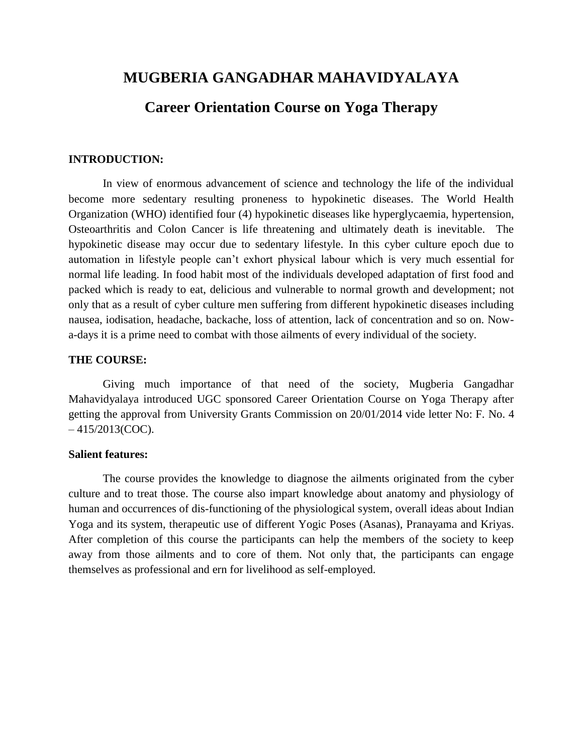## **MUGBERIA GANGADHAR MAHAVIDYALAYA**

## **Career Orientation Course on Yoga Therapy**

## **INTRODUCTION:**

In view of enormous advancement of science and technology the life of the individual become more sedentary resulting proneness to hypokinetic diseases. The World Health Organization (WHO) identified four (4) hypokinetic diseases like hyperglycaemia, hypertension, Osteoarthritis and Colon Cancer is life threatening and ultimately death is inevitable. The hypokinetic disease may occur due to sedentary lifestyle. In this cyber culture epoch due to automation in lifestyle people can't exhort physical labour which is very much essential for normal life leading. In food habit most of the individuals developed adaptation of first food and packed which is ready to eat, delicious and vulnerable to normal growth and development; not only that as a result of cyber culture men suffering from different hypokinetic diseases including nausea, iodisation, headache, backache, loss of attention, lack of concentration and so on. Nowa-days it is a prime need to combat with those ailments of every individual of the society.

### **THE COURSE:**

Giving much importance of that need of the society, Mugberia Gangadhar Mahavidyalaya introduced UGC sponsored Career Orientation Course on Yoga Therapy after getting the approval from University Grants Commission on 20/01/2014 vide letter No: F. No. 4  $-415/2013(COC)$ .

## **Salient features:**

The course provides the knowledge to diagnose the ailments originated from the cyber culture and to treat those. The course also impart knowledge about anatomy and physiology of human and occurrences of dis-functioning of the physiological system, overall ideas about Indian Yoga and its system, therapeutic use of different Yogic Poses (Asanas), Pranayama and Kriyas. After completion of this course the participants can help the members of the society to keep away from those ailments and to core of them. Not only that, the participants can engage themselves as professional and ern for livelihood as self-employed.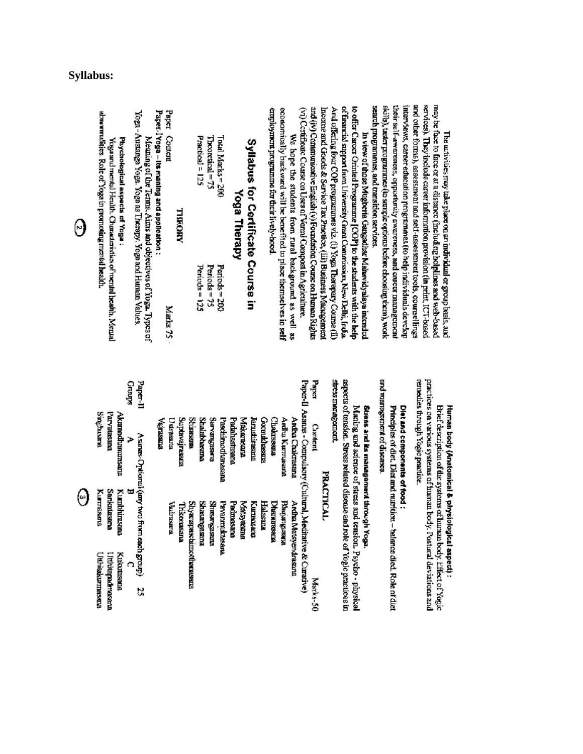may be face to face or at a distance (including holplines and web-based search programmes, and transition services. skills), taster programmes (to sample options before choosing them), work their self-awareness, opportunity awareness, and career management interviews, career education programmes (to help individuals develop and other forms), assessment and sett-assessment tools, coursellings services). They include career information provision (in print, ICT-based The activities may take place on an individual or group basis, and

of firstreial support from University Grant Commission, New Delhi, India and (iv) Communicative English (v) Foundation Course on Human Rights And officing four COP programmes viz. (i) Yoga Therepary Course (ii) to offer Caroer Orinted Programme [COP] to the students with the help (vi) Certificate Course on Uses of Verni Compost in Agriculture. Income and Goods & Service Tax Practice, (iii) Business Management In view of those Mugberia Gangadhar Mahavidyalaya intended

asded

 $|$  and  $\epsilon$ 

economically backward will be benefited to place themselves in self employment programme for their lively-hood. We hope the students from rural background as well as

## Syllabus for Certificate Course in Yoga Therapy

| $-25$ = 125     | $T_{\text{noncritical}} = 75$ | Fotal Marks = 200    |  |
|-----------------|-------------------------------|----------------------|--|
| Periods = $125$ | Periods = $75$                | $P_{crit}$ ods = 200 |  |

Meaning of the Terms. Aims and objectives of Yoga. Types of

Yoga - Austanga Yoga. Yoga as Thorapy. Yoga and Human Values

Phychological aspects of Yoga:

shown adities. Role of Yoga in promoting mental health. Yingu und mental Health. Characteristics of mental health, Mental

Θ

practices on various systems of funnan body. Postural deviations and remedies through Yogic practice. Brief description of the ayatems of human body. Effect of Yogic Human body (Anatomical & physiological aspect) :

## Diet and components of food :

and management of discoses. Principles of diet. Diet and murition - balance died. Role of diet

## Stress and its management through Yoga.

aspects of tension. Stress related disease and role of Yogic practices in stress menagement. Maring and science of stress and tension. Psycho - physical

**PRACTICAL** 

| <b>RUBERTING</b>                                        | Efterante U              |
|---------------------------------------------------------|--------------------------|
| Trikorasana                                             | sueselevering            |
| <b>Shyanapered modificates and</b>                      | Shirasana                |
| Shasungasann                                            | <b>Stratcherene</b>      |
| <b>STREET REALLY</b>                                    | <b>EURSERIES</b>         |
| Payanturlateana                                         | Paschimodhanasana        |
| <b>Participation</b>                                    | Padahastasara            |
| Matsyasana                                              | <b>Middle and Series</b> |
| Kuranaşarış                                             | <b>DIRECTED</b>          |
| Halasana                                                | <b>Gomakhasana</b>       |
| <b>Diversions</b>                                       | <b>Chalonsena</b>        |
| ensee Surfoug                                           | Adhartman X              |
| Ardha Matsvendrasaria                                   | Ardha Chalcrasana        |
| I Assnas - Compulsory (Cultural, Meditative & Curative) |                          |
| Marks-50                                                | <b>Content</b>           |

Akanedhamasana Asungs-Optional (any two from each group) Þ Kumbhirasana

Sunno

Paper-11

Vajrasana

0

Китовала Sankadasara

Пильнамизамия **Chrisphabardis** 

Kukutusana

25

Paryatasana

**Suphavant** 

**Syllabus:** 

TILFORN

Marks 75

Paper Content

Paper-IYoga – its maning and application :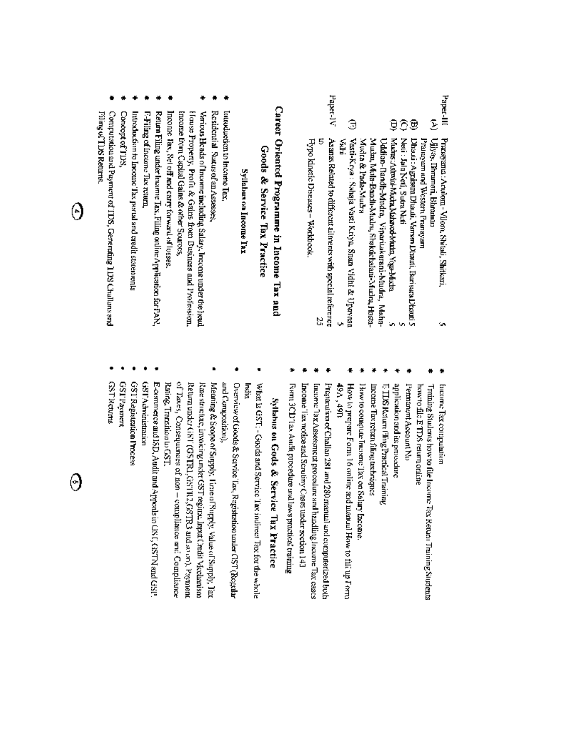|   | Paper-III<br>٤ | Prazayana : Aculom - Vilone Shitali, Shitkan,<br>Ç,                                                         |
|---|----------------|-------------------------------------------------------------------------------------------------------------|
|   |                | Uliyay, Bhramari, Bhranan<br>Praia yam and Western Pranayam                                                 |
|   | ම              | Dhaui : Agrisara Dhaui, Varran Dhaui, Burisara Dhaui S                                                      |
|   | ô              | Neti : Jala Keti, Sutra Nuti                                                                                |
|   | ĝ              | Murhas: Ashrúnir Mucha, Marlanod-Muzha, Yiga-Mucha                                                          |
|   |                | Uddian-Bandh-Mudra, Viparitakarani-Mudra, Maka-                                                             |
|   |                | Muita, Mula-Bandh-Mudra, Shakidhalani-Mudra, Hasta-                                                         |
|   |                | Mudra & Pada-Mudra                                                                                          |
|   | Э              | Vasti-Keya: Sahaja Vasti Keiya, Snan Vidhi & Upeyasa                                                        |
|   |                | EUM.<br>ų                                                                                                   |
|   | Paper-1V       | Assanss Related to different alterents with special reference                                               |
|   |                | 5<br>S                                                                                                      |
|   |                | Hypo kluetic Diseases – Workbook.                                                                           |
|   |                |                                                                                                             |
|   |                | Career Oriented Programme in Income<br>Goods & Service Tax Practice<br>Tax and                              |
|   |                | Syllabus on Income Tax                                                                                      |
|   |                |                                                                                                             |
|   |                | Inteeduction to Income Tax.                                                                                 |
|   |                | Residential Status of an Assesses,                                                                          |
| ÷ |                | Various Heads of Income including Salary, Income under the head                                             |
|   |                | Income front Capital Gains & other Sources,<br>House Property, Profit & Gains from Business and Profession. |
|   |                | Income Tax, Set off and carry forward to sees.                                                              |
|   |                | Return Filing under Inzome Tax, Filing online Application for PAN,                                          |
|   |                | F-Filing of Income Tax return,                                                                              |
|   |                | Introduction to Income Tax portal and credit statements                                                     |
|   |                | Concept of TDS,                                                                                             |
|   |                | Computation and Payment of TDS, Generating 1DS Challans and                                                 |

- **bicome Tax computation**
- how to file ETDS return online Training Students how to file Income Tax Renant Training Students
- Permancent Account No
- application and its protective
- **E ILIS Return Hing Practical Training**
- Income Tax return filing techniques
- How to compute Incornet liax on Salary Inconet
- How to prepere Form 16 cmline and meanual How to thit up I com 49A, 49B
- Freparainn of Challan 281 and 280 manual and computerized both
- Import 1ax/assessnert procedure and handling Income Tax cases
- Income l'ax notice and Scrutiny Cases under section 143
- Form 3CD Tax Audit procedure and laws practices training

# Syllabus on Gods & Service Tax Practice

- helia What is GST: - Goods and Service Tax indirect Tax for the whole
- and Composition), Overview of Goods & Service Hav, Registration under CST (Regular
- of Taxes, Consequences of non-compliance and Compliance Return under GST (GSTR1,GSTR1,GSTR3 and so on), Psymeno Rae structure, involcing under GST regime, Input Credit Vicelanism Meaning & Scope of Supply, Hime of Supply, Value of Supply, Iax Rating, Transition to GST.
- E-ournerce and ISD, Audit and Appeals in CSC, CSTN and GSP.
- **GSTAdministration**

- 
- GST Registration Process
- GST Payment
- 
- 
- GSTReture
- 

Filing of TDS Returns.

Θ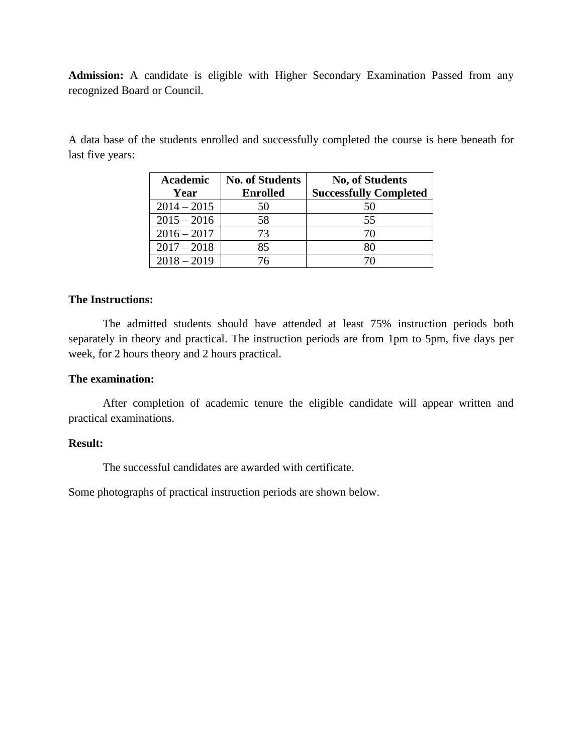**Admission:** A candidate is eligible with Higher Secondary Examination Passed from any recognized Board or Council.

A data base of the students enrolled and successfully completed the course is here beneath for last five years:

| Academic      | <b>No. of Students</b> | <b>No, of Students</b>        |
|---------------|------------------------|-------------------------------|
| Year          | <b>Enrolled</b>        | <b>Successfully Completed</b> |
| $2014 - 2015$ | 50                     | 50                            |
| $2015 - 2016$ | 58                     | 55                            |
| $2016 - 2017$ | 73                     | 70                            |
| $2017 - 2018$ | 85                     | 80                            |
| $2018 - 2019$ | 76                     |                               |

## **The Instructions:**

The admitted students should have attended at least 75% instruction periods both separately in theory and practical. The instruction periods are from 1pm to 5pm, five days per week, for 2 hours theory and 2 hours practical.

## **The examination:**

After completion of academic tenure the eligible candidate will appear written and practical examinations.

## **Result:**

The successful candidates are awarded with certificate.

Some photographs of practical instruction periods are shown below.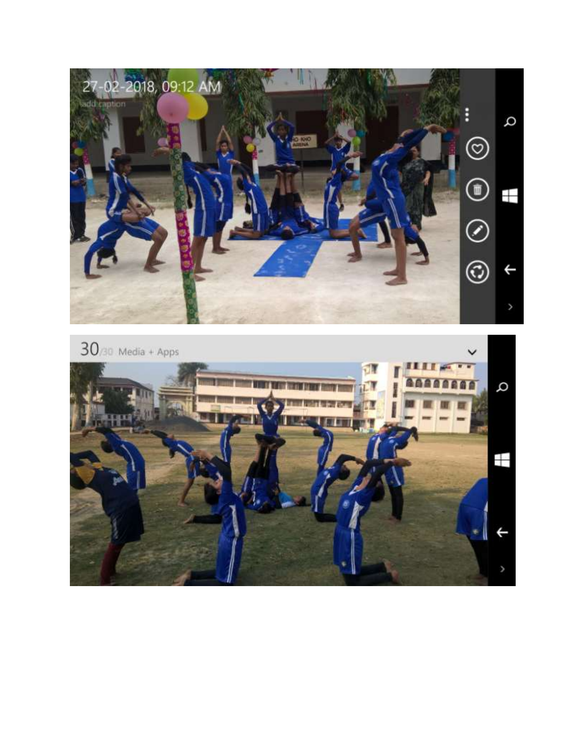

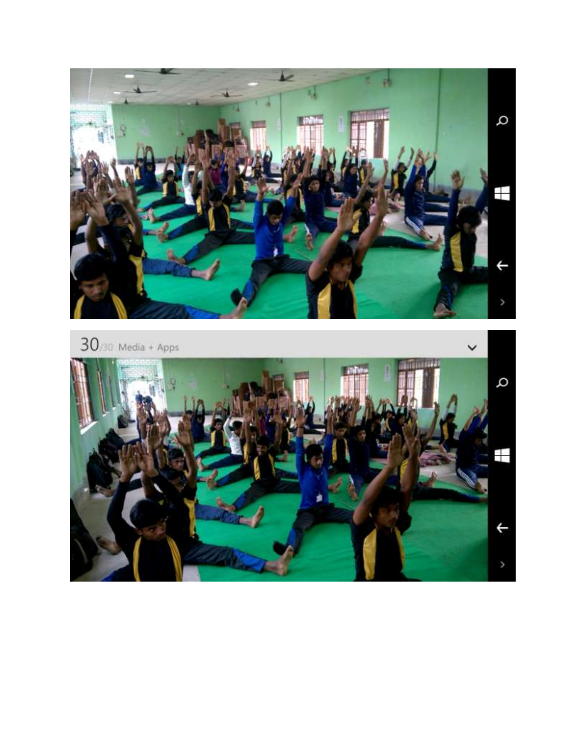